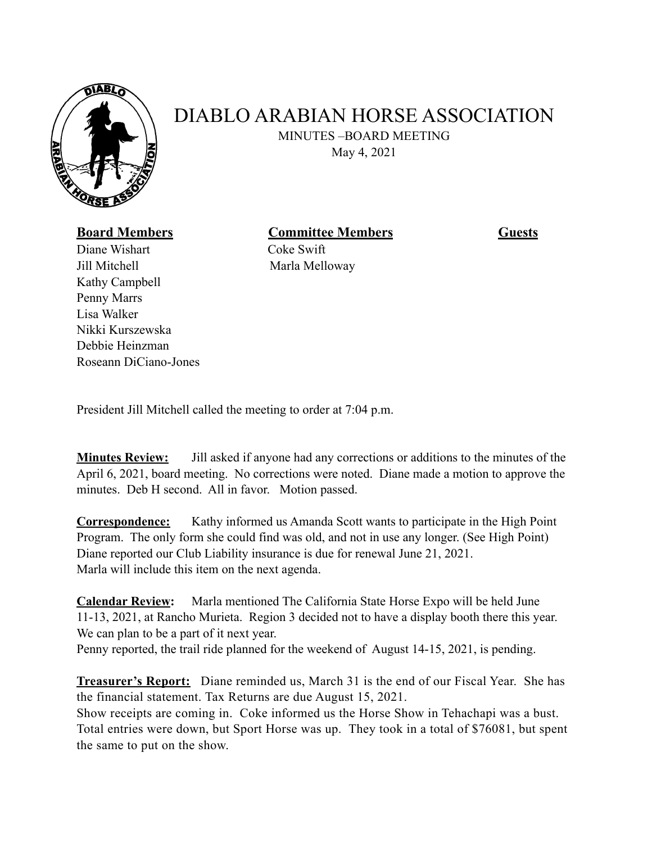

## DIABLO ARABIAN HORSE ASSOCIATION

MINUTES –BOARD MEETING

May 4, 2021

## **Board Members Committee Members Guests**

Diane WishartCoke Swift Jill Mitchell Marla Melloway Kathy Campbell Penny Marrs Lisa Walker Nikki Kurszewska Debbie Heinzman Roseann DiCiano-Jones

President Jill Mitchell called the meeting to order at 7:04 p.m.

**Minutes Review:** Jill asked if anyone had any corrections or additions to the minutes of the April 6, 2021, board meeting. No corrections were noted. Diane made a motion to approve the minutes. Deb H second. All in favor. Motion passed.

**Correspondence:** Kathy informed us Amanda Scott wants to participate in the High Point Program. The only form she could find was old, and not in use any longer. (See High Point) Diane reported our Club Liability insurance is due for renewal June 21, 2021. Marla will include this item on the next agenda.

**Calendar Review:** Marla mentioned The California State Horse Expo will be held June 11-13, 2021, at Rancho Murieta. Region 3 decided not to have a display booth there this year. We can plan to be a part of it next year.

Penny reported, the trail ride planned for the weekend of August 14-15, 2021, is pending.

**Treasurer's Report:** Diane reminded us, March 31 is the end of our Fiscal Year. She has the financial statement. Tax Returns are due August 15, 2021.

Show receipts are coming in. Coke informed us the Horse Show in Tehachapi was a bust. Total entries were down, but Sport Horse was up. They took in a total of \$76081, but spent the same to put on the show.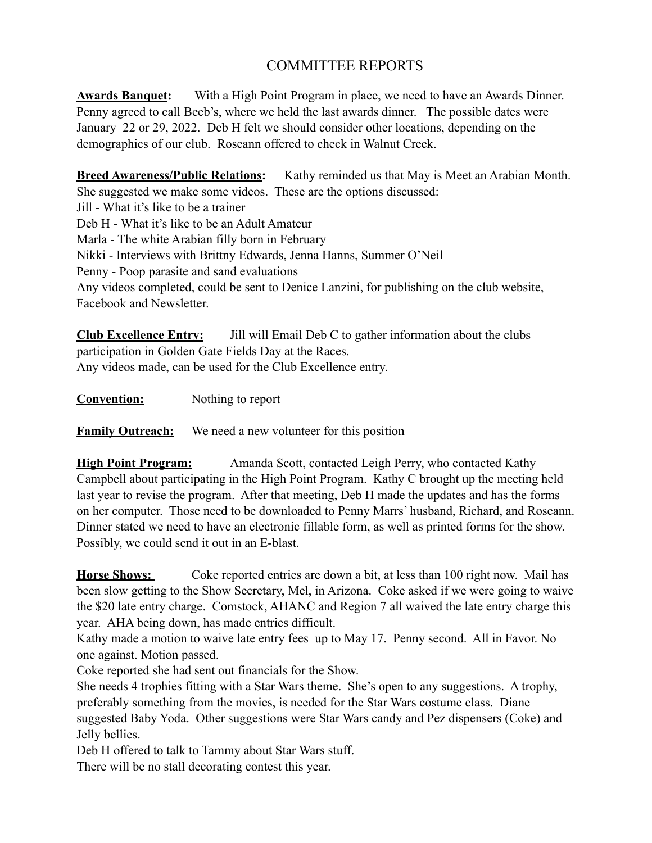## COMMITTEE REPORTS

**Awards Banquet:** With a High Point Program in place, we need to have an Awards Dinner. Penny agreed to call Beeb's, where we held the last awards dinner. The possible dates were January 22 or 29, 2022. Deb H felt we should consider other locations, depending on the demographics of our club. Roseann offered to check in Walnut Creek.

**Breed Awareness/Public Relations:** Kathy reminded us that May is Meet an Arabian Month. She suggested we make some videos. These are the options discussed: Jill - What it's like to be a trainer Deb H - What it's like to be an Adult Amateur Marla - The white Arabian filly born in February Nikki - Interviews with Brittny Edwards, Jenna Hanns, Summer O'Neil Penny - Poop parasite and sand evaluations Any videos completed, could be sent to Denice Lanzini, for publishing on the club website, Facebook and Newsletter.

**Club Excellence Entry:** Jill will Email Deb C to gather information about the clubs participation in Golden Gate Fields Day at the Races. Any videos made, can be used for the Club Excellence entry.

**Convention:** Nothing to report

**Family Outreach:** We need a new volunteer for this position

**High Point Program:** Amanda Scott, contacted Leigh Perry, who contacted Kathy Campbell about participating in the High Point Program. Kathy C brought up the meeting held last year to revise the program. After that meeting, Deb H made the updates and has the forms on her computer. Those need to be downloaded to Penny Marrs' husband, Richard, and Roseann. Dinner stated we need to have an electronic fillable form, as well as printed forms for the show. Possibly, we could send it out in an E-blast.

**Horse Shows:** Coke reported entries are down a bit, at less than 100 right now. Mail has been slow getting to the Show Secretary, Mel, in Arizona. Coke asked if we were going to waive the \$20 late entry charge. Comstock, AHANC and Region 7 all waived the late entry charge this year. AHA being down, has made entries difficult.

Kathy made a motion to waive late entry fees up to May 17. Penny second. All in Favor. No one against. Motion passed.

Coke reported she had sent out financials for the Show.

She needs 4 trophies fitting with a Star Wars theme. She's open to any suggestions. A trophy, preferably something from the movies, is needed for the Star Wars costume class. Diane suggested Baby Yoda. Other suggestions were Star Wars candy and Pez dispensers (Coke) and Jelly bellies.

Deb H offered to talk to Tammy about Star Wars stuff.

There will be no stall decorating contest this year.